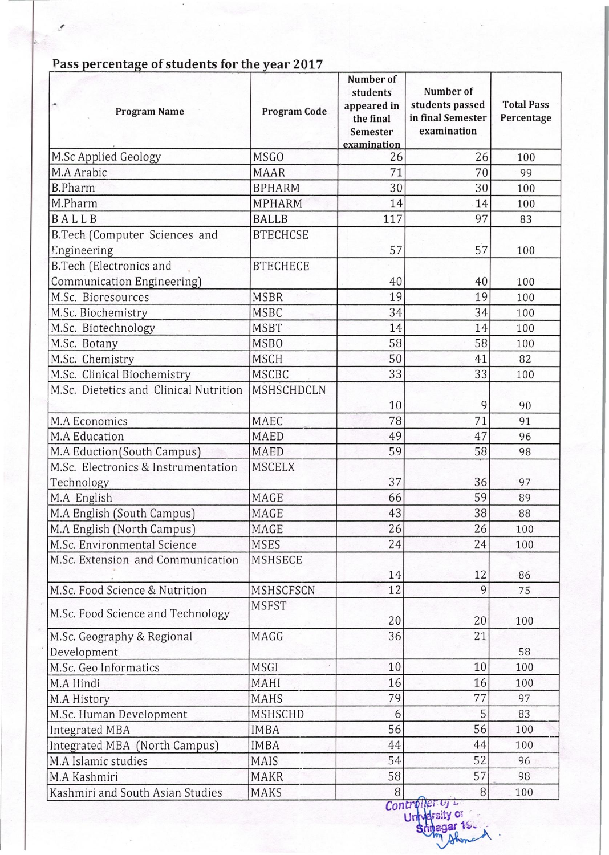| <b>Program Name</b>                                   | Program Code     | Number of<br>students<br>appeared in<br>the final<br><b>Semester</b><br>examination | Number of<br>students passed<br>in final Semester<br>examination | <b>Total Pass</b><br>Percentage |
|-------------------------------------------------------|------------------|-------------------------------------------------------------------------------------|------------------------------------------------------------------|---------------------------------|
| M.Sc Applied Geology                                  | <b>MSGO</b>      | 26                                                                                  | 26                                                               | 100                             |
| M.A Arabic                                            | <b>MAAR</b>      | 71                                                                                  | 70                                                               | 99                              |
| <b>B.Pharm</b>                                        | <b>BPHARM</b>    | 30                                                                                  | 30                                                               | 100                             |
| M.Pharm                                               | <b>MPHARM</b>    | 14                                                                                  | 14                                                               | 100                             |
| BALLB                                                 | <b>BALLB</b>     | 117                                                                                 | 97                                                               | 83                              |
| B.Tech (Computer Sciences and<br>Engineering          | <b>BTECHCSE</b>  | 57                                                                                  | 57                                                               | 100                             |
| B.Tech (Electronics and<br>Communication Engineering) | <b>BTECHECE</b>  | 40                                                                                  | 40                                                               | 100                             |
| M.Sc. Bioresources                                    | <b>MSBR</b>      | 19                                                                                  | 19                                                               | 100                             |
| M.Sc. Biochemistry                                    | <b>MSBC</b>      | 34                                                                                  | 34                                                               | 100                             |
| M.Sc. Biotechnology                                   | <b>MSBT</b>      | 14                                                                                  | 14                                                               | 100                             |
| M.Sc. Botany                                          | <b>MSBO</b>      | 58                                                                                  | 58                                                               | 100                             |
| M.Sc. Chemistry                                       | <b>MSCH</b>      | 50                                                                                  | 41                                                               | 82                              |
| M.Sc. Clinical Biochemistry                           | <b>MSCBC</b>     | 33                                                                                  | 33                                                               | 100                             |
| M.Sc. Dietetics and Clinical Nutrition                | MSHSCHDCLN       | 10                                                                                  | 9                                                                | 90                              |
| M.A Economics                                         | MAEC             | 78                                                                                  | 71                                                               | 91                              |
| M.A Education                                         | <b>MAED</b>      | 49                                                                                  | 47                                                               | 96                              |
| M.A Eduction(South Campus)                            | <b>MAED</b>      | 59                                                                                  | 58                                                               | 98                              |
| M.Sc. Electronics & Instrumentation<br>Technology     | <b>MSCELX</b>    | 37                                                                                  | 36                                                               | 97                              |
| M.A English                                           | MAGE             | 66                                                                                  | 59                                                               | 89                              |
| M.A English (South Campus)                            | MAGE             | 43                                                                                  | 38                                                               | 88                              |
| M.A English (North Campus)                            | MAGE             | 26                                                                                  | 26                                                               | 100                             |
| M.Sc. Environmental Science                           | <b>MSES</b>      | 24                                                                                  | 24                                                               | 100                             |
| M.Sc. Extension and Communication                     | <b>MSHSECE</b>   | 14                                                                                  | 12                                                               | 86                              |
| M.Sc. Food Science & Nutrition                        | <b>MSHSCFSCN</b> | 12                                                                                  | 9                                                                | 75                              |
| M.Sc. Food Science and Technology                     | <b>MSFST</b>     | 20                                                                                  | 20                                                               | 100                             |
| M.Sc. Geography & Regional<br>Development             | MAGG             | 36                                                                                  | 21                                                               | 58                              |
| M.Sc. Geo Informatics                                 | MSGI             | 10                                                                                  | 10                                                               | 100                             |
| M.A Hindi                                             | <b>MAHI</b>      | 16                                                                                  | 16                                                               | 100                             |
| M.A History                                           | <b>MAHS</b>      | 79                                                                                  | 77                                                               | 97                              |
| M.Sc. Human Development                               | MSHSCHD          | 6                                                                                   | 5                                                                | 83                              |
| Integrated MBA                                        | <b>IMBA</b>      | 56                                                                                  | 56                                                               | 100                             |
| Integrated MBA (North Campus)                         | <b>IMBA</b>      | 44                                                                                  | 44                                                               | 100                             |
| M.A Islamic studies                                   | MAIS             | 54                                                                                  | 52                                                               | 96                              |
| M.A Kashmiri                                          | <b>MAKR</b>      | 58                                                                                  | 57                                                               | 98                              |
| Kashmiri and South Asian Studies                      | <b>MAKS</b>      | 8                                                                                   | 8                                                                | 100                             |

## Pass percentage of students for the year 2017

Contr u~ttyOT : . agar 1~· ... · .